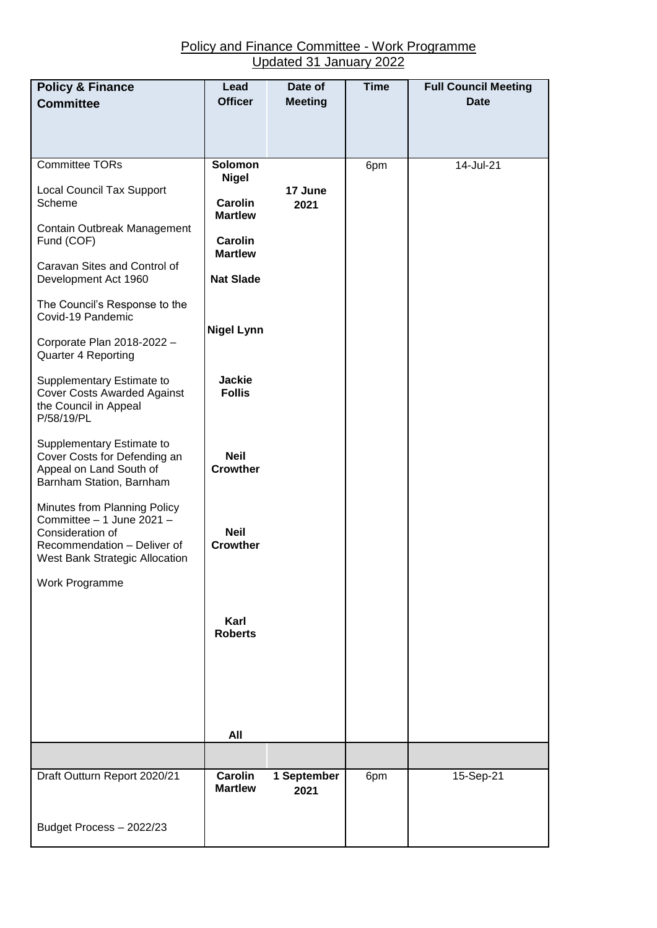| <b>Policy &amp; Finance</b>                                                                                                                    | Lead                             | Date of         | <b>Time</b> | <b>Full Council Meeting</b> |
|------------------------------------------------------------------------------------------------------------------------------------------------|----------------------------------|-----------------|-------------|-----------------------------|
| <b>Committee</b>                                                                                                                               | <b>Officer</b>                   | <b>Meeting</b>  |             | <b>Date</b>                 |
|                                                                                                                                                |                                  |                 |             |                             |
| Committee TORs                                                                                                                                 | Solomon                          |                 | 6pm         | 14-Jul-21                   |
|                                                                                                                                                | <b>Nigel</b>                     |                 |             |                             |
| <b>Local Council Tax Support</b><br>Scheme                                                                                                     | <b>Carolin</b><br><b>Martlew</b> | 17 June<br>2021 |             |                             |
| Contain Outbreak Management<br>Fund (COF)                                                                                                      | <b>Carolin</b><br><b>Martlew</b> |                 |             |                             |
| Caravan Sites and Control of<br>Development Act 1960                                                                                           | <b>Nat Slade</b>                 |                 |             |                             |
| The Council's Response to the<br>Covid-19 Pandemic                                                                                             |                                  |                 |             |                             |
| Corporate Plan 2018-2022 -<br>Quarter 4 Reporting                                                                                              | <b>Nigel Lynn</b>                |                 |             |                             |
| Supplementary Estimate to<br><b>Cover Costs Awarded Against</b><br>the Council in Appeal<br>P/58/19/PL                                         | <b>Jackie</b><br><b>Follis</b>   |                 |             |                             |
| Supplementary Estimate to<br>Cover Costs for Defending an<br>Appeal on Land South of<br>Barnham Station, Barnham                               | <b>Neil</b><br><b>Crowther</b>   |                 |             |                             |
| Minutes from Planning Policy<br>Committee - 1 June 2021 -<br>Consideration of<br>Recommendation - Deliver of<br>West Bank Strategic Allocation | <b>Neil</b><br><b>Crowther</b>   |                 |             |                             |
| Work Programme                                                                                                                                 |                                  |                 |             |                             |
|                                                                                                                                                | Karl<br><b>Roberts</b>           |                 |             |                             |
|                                                                                                                                                |                                  |                 |             |                             |
|                                                                                                                                                |                                  |                 |             |                             |
|                                                                                                                                                | All                              |                 |             |                             |
|                                                                                                                                                |                                  |                 |             |                             |
| Draft Outturn Report 2020/21                                                                                                                   | <b>Carolin</b>                   | 1 September     | 6pm         | 15-Sep-21                   |
|                                                                                                                                                | <b>Martlew</b>                   | 2021            |             |                             |
| Budget Process - 2022/23                                                                                                                       |                                  |                 |             |                             |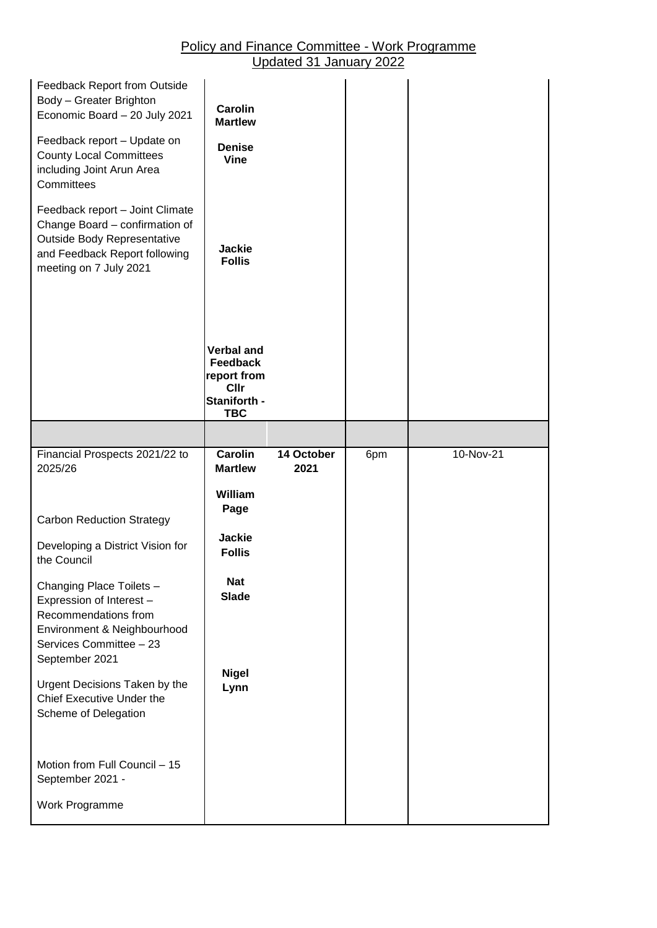| Feedback Report from Outside<br>Body - Greater Brighton<br>Economic Board - 20 July 2021<br>Feedback report - Update on<br><b>County Local Committees</b><br>including Joint Arun Area<br>Committees<br>Feedback report - Joint Climate | <b>Carolin</b><br><b>Martlew</b><br><b>Denise</b><br><b>Vine</b>                   |                    |     |           |
|-----------------------------------------------------------------------------------------------------------------------------------------------------------------------------------------------------------------------------------------|------------------------------------------------------------------------------------|--------------------|-----|-----------|
| Change Board - confirmation of<br>Outside Body Representative<br>and Feedback Report following<br>meeting on 7 July 2021                                                                                                                | <b>Jackie</b><br><b>Follis</b>                                                     |                    |     |           |
|                                                                                                                                                                                                                                         | <b>Verbal and</b><br>Feedback<br>report from<br>Cllr<br>Staniforth -<br><b>TBC</b> |                    |     |           |
|                                                                                                                                                                                                                                         |                                                                                    |                    |     |           |
| Financial Prospects 2021/22 to<br>2025/26                                                                                                                                                                                               | <b>Carolin</b><br><b>Martlew</b>                                                   | 14 October<br>2021 | 6pm | 10-Nov-21 |
|                                                                                                                                                                                                                                         |                                                                                    |                    |     |           |
|                                                                                                                                                                                                                                         | William                                                                            |                    |     |           |
| <b>Carbon Reduction Strategy</b>                                                                                                                                                                                                        | Page                                                                               |                    |     |           |
| Developing a District Vision for<br>the Council                                                                                                                                                                                         | <b>Jackie</b><br><b>Follis</b>                                                     |                    |     |           |
| Changing Place Toilets -<br>Expression of Interest -<br>Recommendations from<br>Environment & Neighbourhood<br>Services Committee - 23<br>September 2021                                                                                | <b>Nat</b><br><b>Slade</b>                                                         |                    |     |           |
| Urgent Decisions Taken by the<br>Chief Executive Under the<br>Scheme of Delegation                                                                                                                                                      | <b>Nigel</b><br>Lynn                                                               |                    |     |           |
| Motion from Full Council - 15<br>September 2021 -                                                                                                                                                                                       |                                                                                    |                    |     |           |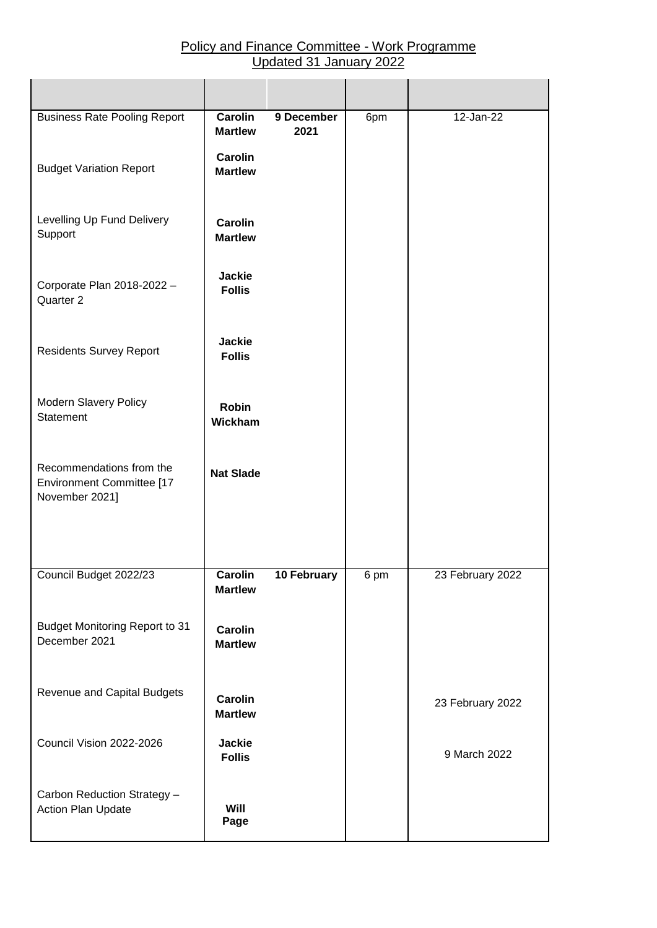| <b>Business Rate Pooling Report</b>                                     | <b>Carolin</b><br><b>Martlew</b> | 9 December<br>2021 | 6pm  | 12-Jan-22        |
|-------------------------------------------------------------------------|----------------------------------|--------------------|------|------------------|
| <b>Budget Variation Report</b>                                          | Carolin<br><b>Martlew</b>        |                    |      |                  |
| Levelling Up Fund Delivery<br>Support                                   | <b>Carolin</b><br><b>Martlew</b> |                    |      |                  |
| Corporate Plan 2018-2022 -<br>Quarter 2                                 | <b>Jackie</b><br><b>Follis</b>   |                    |      |                  |
| <b>Residents Survey Report</b>                                          | <b>Jackie</b><br><b>Follis</b>   |                    |      |                  |
| <b>Modern Slavery Policy</b><br>Statement                               | <b>Robin</b><br>Wickham          |                    |      |                  |
| Recommendations from the<br>Environment Committee [17<br>November 2021] | <b>Nat Slade</b>                 |                    |      |                  |
| Council Budget 2022/23                                                  | Carolin                          | 10 February        | 6 pm | 23 February 2022 |
|                                                                         | <b>Martlew</b>                   |                    |      |                  |
| <b>Budget Monitoring Report to 31</b><br>December 2021                  | Carolin<br><b>Martlew</b>        |                    |      |                  |
| Revenue and Capital Budgets                                             | <b>Carolin</b><br><b>Martlew</b> |                    |      | 23 February 2022 |
| Council Vision 2022-2026                                                | <b>Jackie</b><br><b>Follis</b>   |                    |      | 9 March 2022     |
| Carbon Reduction Strategy -<br>Action Plan Update                       | Will<br>Page                     |                    |      |                  |